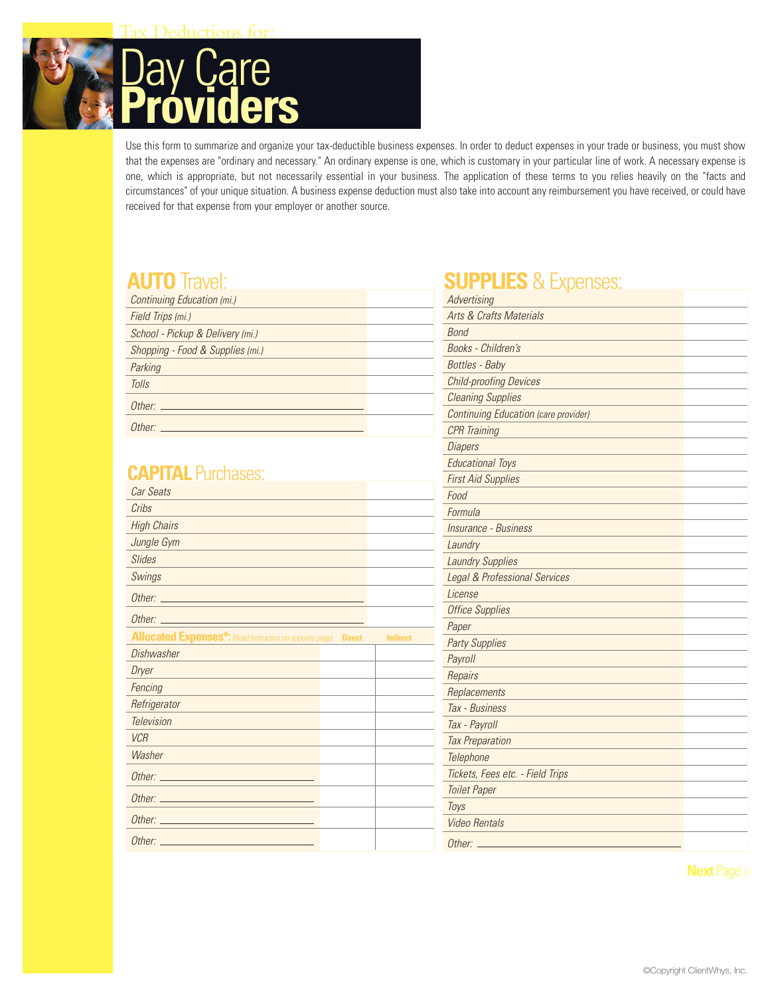



Use this form to summarize and organize your tax-deductible business expenses. In order to deduct expenses in your trade or business, you must show that the expenses are "ordinary and necessary." An ordinary expense is one, which is customary in your particular line of work. A necessary expense is one, which is appropriate, but not necessarily essential in your business. The application of these terms to you relies heavily on the "facts and circumstances" of your unique situation. A business expense deduction must also take into account any reimbursement you have received, or could have received for that expense from your employer or another source.

## **AUTO** Travel:

| Continuing Education (mi.)       |  |
|----------------------------------|--|
| Field Trips (mi.)                |  |
| School - Pickup & Delivery (mi.) |  |
| Shopping - Food & Supplies (mi.) |  |
| Parking                          |  |
| Tolls                            |  |
| Other <sup>.</sup>               |  |
| Other <sup>.</sup>               |  |

## **CAPITAL** Purchases:

| Car Seats                                                       |               |                 |
|-----------------------------------------------------------------|---------------|-----------------|
| Cribs                                                           |               |                 |
| <b>High Chairs</b>                                              |               |                 |
| Jungle Gym                                                      |               |                 |
| <b>Slides</b>                                                   |               |                 |
| Swings                                                          |               |                 |
|                                                                 |               |                 |
| Other:                                                          |               |                 |
| <b>Allocated Expenses*:</b> (Read Instruction on opposite page) | <b>Direct</b> | <b>Indirect</b> |
| <b>Dishwasher</b>                                               |               |                 |
| <b>Dryer</b>                                                    |               |                 |
| Fencing                                                         |               |                 |
| Refrigerator                                                    |               |                 |
| <b>Television</b>                                               |               |                 |
| <b>VCR</b>                                                      |               |                 |
| Washer                                                          |               |                 |
|                                                                 |               |                 |
|                                                                 |               |                 |
| $Other:$ $$                                                     |               |                 |
| Other:                                                          |               |                 |

## **SUPPLIES** & Expenses:

| Advertising                                 |  |
|---------------------------------------------|--|
| Arts & Crafts Materials                     |  |
| <b>Bond</b>                                 |  |
| Books - Children's                          |  |
| <b>Bottles</b> - Baby                       |  |
| <b>Child-proofing Devices</b>               |  |
| <b>Cleaning Supplies</b>                    |  |
| <b>Continuing Education (care provider)</b> |  |
| <b>CPR</b> Training                         |  |
| <b>Diapers</b>                              |  |
| <b>Educational Toys</b>                     |  |
| <b>First Aid Supplies</b>                   |  |
| Food                                        |  |
| Formula                                     |  |
| <i><b>Insurance - Business</b></i>          |  |
| Laundry                                     |  |
| <b>Laundry Supplies</b>                     |  |
| Legal & Professional Services               |  |
| License                                     |  |
| <b>Office Supplies</b>                      |  |
| Paper                                       |  |
| <b>Party Supplies</b>                       |  |
| Payroll                                     |  |
| Repairs                                     |  |
| Replacements                                |  |
| Tax - Business                              |  |
| Tax - Payroll                               |  |
| <b>Tax Preparation</b>                      |  |
| Telephone                                   |  |
| Tickets, Fees etc. - Field Trips            |  |
| <b>Toilet Paper</b>                         |  |
| Toys                                        |  |
| <b>Video Rentals</b>                        |  |
| $Other:$ $-$                                |  |
|                                             |  |

**Next** Page >